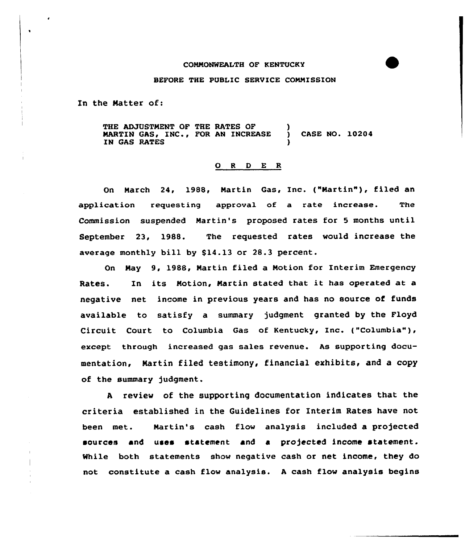## CONNONWEALTH OF KENTUCKY

## BEFORE THE PUBLIC SERVICE CONNISSION

In the Natter of:

THE ADJUSTMENT OF THE RATES OF MARTIN GAS, INC., FOR AN INCREASE ) CASE NO. 10204 IN GAS RATES

## 0 <sup>R</sup> <sup>D</sup> E <sup>R</sup>

On Narch 24, 1988, Nartin Gas, Inc. ("Nartin"), filed an application requesting approval of a rate increase. The Commission suspended Martin's proposed rates for 5 months until September 23, 1988. The requested rates would increase the average monthly bill by  $$14.13$  or  $28.3$  percent.

On Nay 9, 1988, Nartin filed a Notion for Interim Emergency Rates. In its Notion, Nartin stated that it has operated at <sup>a</sup> negative net income in previous years and has no source of funds available to satisfy a summary judgment granted by the Floyd Circuit Court to Columbia Gas of Kentucky, Inc. ("Columbia" ), except through increased gas sales revenue. As supporting documentation, Martin filed testimony, financial exhibits, and a copy of the summary judgment.

<sup>A</sup> review of the supporting documentation indicates that the criteria established in the Guidelines for Interim Rates have not been met. Nartin's cash flow analysis included a projected sources and uses statement and a projected income statement. While both statements show negative cash or net income, they do not constitute a cash flow analysis. <sup>A</sup> cash flow analysis begins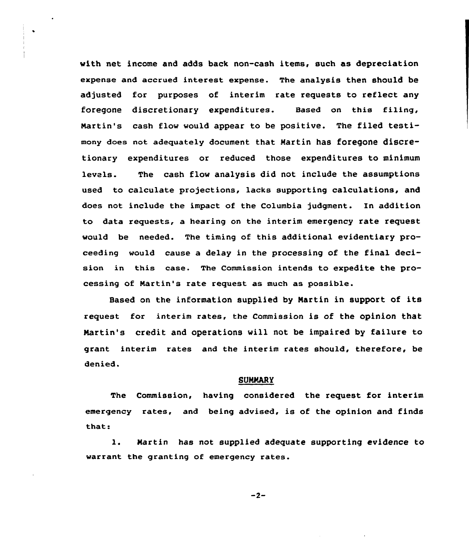with net income and adds back non-cash items, such as depreciation expense and accrued interest expense. The analysis then should be adjusted for purposes of interim rate requests to reflect any foregone discretionary expenditures. Based on this filing, Martin's cash flow would appear to be positive. The filed testimony doea not adequately document that Martin has foregone discretionary expenditures or reduced those expenditures to minimum levels. The cash flow analysis did not include the assumptions used to calculate projections, lacks supporting calculations, and does not include the impact of the Columbia judgment. In addition to data requests, a hearing on the interim emergency rate request would be needed. The timing of this additional evidentiary proceeding would cause a delay in the processing of the final decision in this case. The Commission intends to expedite the processing of Martin's rate request as much as possible.

Based on the information supplied by Nartin in support of its request for interim rates, the Commission is of the opinion that Nartin's credit and operations will not be impaired by failure to grant interim rates and the interim rates should, therefore, be denied.

## SUNNARY

The Commission, having considered the request for interim emergency rates, and being advised, is of the opinion and finds that:

1. Martin has not supplied adequate supporting evidence to warrant the granting of emergency rates.

 $-2-$